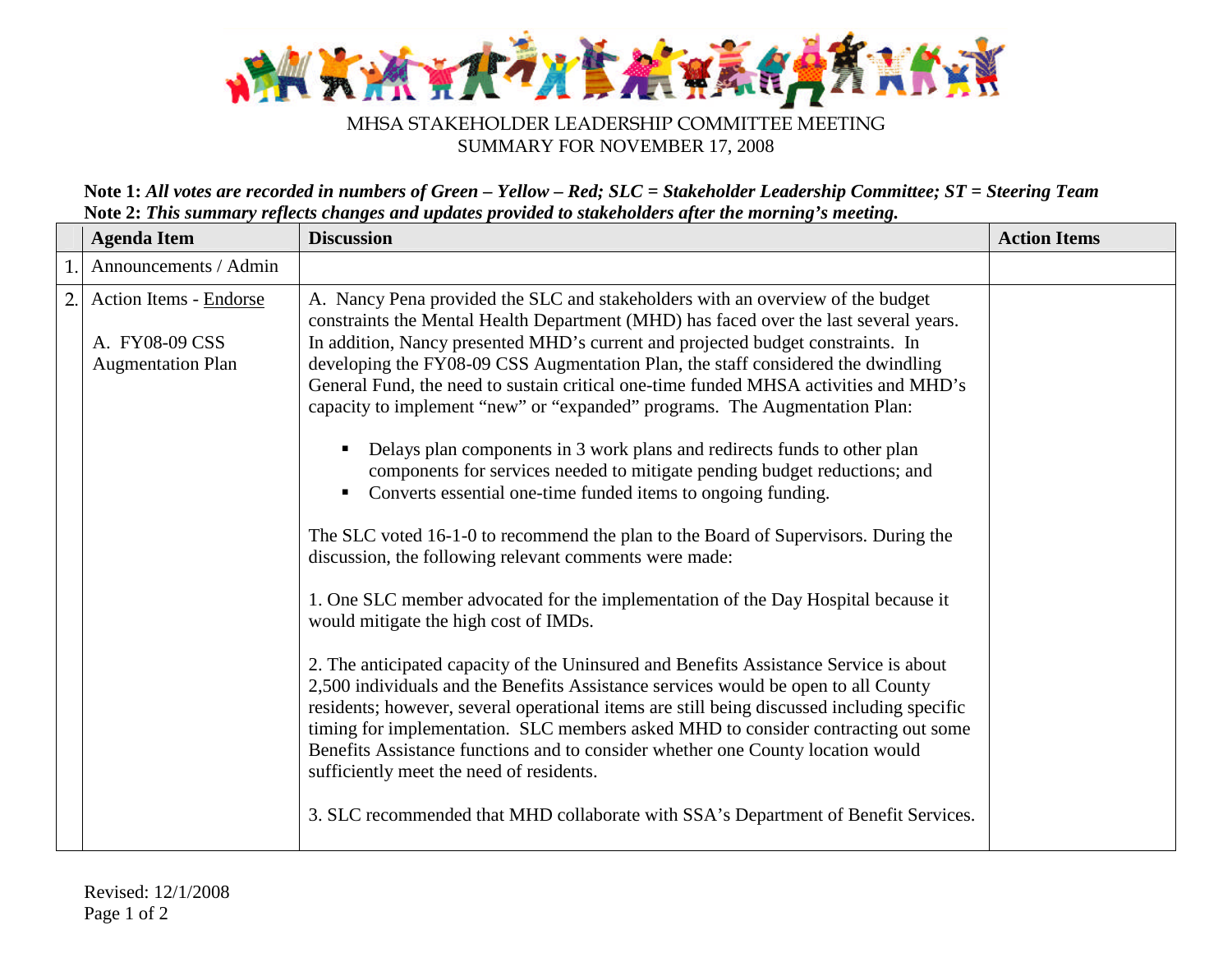

## SUMMARY FOR NOVEMBER 17, 2008

**Note 1:** *All votes are recorded in numbers of Green – Yellow – Red; SLC = Stakeholder Leadership Committee; ST = Steering Team* **Note 2:** *This summary reflects changes and updates provided to stakeholders after the morning's meeting.*

| <b>Discussion</b><br><b>Agenda Item</b>                                                                                                                                                                                                        | <b>Action Items</b>                                                                                                                                                                                                                                                                                                                                                                                                                                                                                                                                                                                                                                                                                                                                                                                                                                                                                                                                                                                                                                                                                                                                                                                                                                                                                                                                                                                                                                                 |  |
|------------------------------------------------------------------------------------------------------------------------------------------------------------------------------------------------------------------------------------------------|---------------------------------------------------------------------------------------------------------------------------------------------------------------------------------------------------------------------------------------------------------------------------------------------------------------------------------------------------------------------------------------------------------------------------------------------------------------------------------------------------------------------------------------------------------------------------------------------------------------------------------------------------------------------------------------------------------------------------------------------------------------------------------------------------------------------------------------------------------------------------------------------------------------------------------------------------------------------------------------------------------------------------------------------------------------------------------------------------------------------------------------------------------------------------------------------------------------------------------------------------------------------------------------------------------------------------------------------------------------------------------------------------------------------------------------------------------------------|--|
| Announcements / Admin                                                                                                                                                                                                                          |                                                                                                                                                                                                                                                                                                                                                                                                                                                                                                                                                                                                                                                                                                                                                                                                                                                                                                                                                                                                                                                                                                                                                                                                                                                                                                                                                                                                                                                                     |  |
| $\overline{2}$ .<br><b>Action Items - Endorse</b><br>A. FY08-09 CSS<br><b>Augmentation Plan</b><br>discussion, the following relevant comments were made:<br>would mitigate the high cost of IMDs.<br>sufficiently meet the need of residents. | A. Nancy Pena provided the SLC and stakeholders with an overview of the budget<br>constraints the Mental Health Department (MHD) has faced over the last several years.<br>In addition, Nancy presented MHD's current and projected budget constraints. In<br>developing the FY08-09 CSS Augmentation Plan, the staff considered the dwindling<br>General Fund, the need to sustain critical one-time funded MHSA activities and MHD's<br>capacity to implement "new" or "expanded" programs. The Augmentation Plan:<br>Delays plan components in 3 work plans and redirects funds to other plan<br>components for services needed to mitigate pending budget reductions; and<br>Converts essential one-time funded items to ongoing funding.<br>The SLC voted 16-1-0 to recommend the plan to the Board of Supervisors. During the<br>1. One SLC member advocated for the implementation of the Day Hospital because it<br>2. The anticipated capacity of the Uninsured and Benefits Assistance Service is about<br>2,500 individuals and the Benefits Assistance services would be open to all County<br>residents; however, several operational items are still being discussed including specific<br>timing for implementation. SLC members asked MHD to consider contracting out some<br>Benefits Assistance functions and to consider whether one County location would<br>3. SLC recommended that MHD collaborate with SSA's Department of Benefit Services. |  |